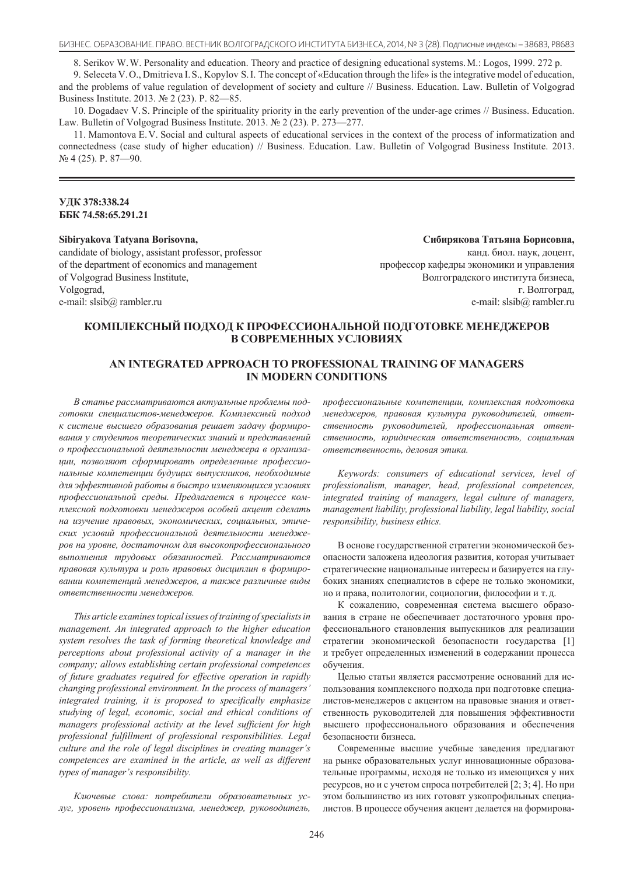8. Serikov W. W. Personality and education. Theory and practice of designing educational systems. M.: Logos, 1999. 272 p.

9. Seleceta V. O., Dmitrieva I. S., Kopylov S. I. The concept of «Education through the life» is the integrative model of education, and the problems of value regulation of development of society and culture // Business. Education. Law. Bulletin of Volgograd Business Institute. 2013. № 2 (23). P. 82—85.

10. Dogadaev V. S. Principle of the spirituality priority in the early prevention of the under-age crimes // Business. Education. Law. Bulletin of Volgograd Business Institute, 2013. № 2 (23). P. 273—277.

11. Mamontova E. V. Social and cultural aspects of educational services in the context of the process of informatization and connectedness (case study of higher education) // Business. Education. Law. Bulletin of Volgograd Business Institute. 2013. № 4 (25). P. 87—90.

## **ɍȾɄ 378:338.24 ȻȻɄ 74.58:65.291.21**

## **Sibiryakova Tatyana Borisovna,**

candidate of biology, assistant professor, professor of the department of economics and management of Volgograd Business Institute, Volgograd, e-mail: slsib@ rambler.ru

Сибирякова Татьяна Борисовна, канд. биол. наук, доцент, профессор кафедры экономики и управления Волгоградского института бизнеса, г. Волгоград, e-mail: slsib@ rambler.ru

# КОМПЛЕКСНЫЙ ПОДХОД К ПРОФЕССИОНАЛЬНОЙ ПОДГОТОВКЕ МЕНЕДЖЕРОВ **В СОВРЕМЕННЫХ УСЛОВИЯХ**

## **AN INTEGRATED APPROACH TO PROFESSIONAL TRAINING OF MANAGERS IN MODERN CONDITIONS**

В статье рассматриваются актуальные проблемы подготовки специалистов-менеджеров. Комплексный подход к системе высшего образования решает задачу формирования у студентов теоретических знаний и представлений *ɨ ɩɪɨɮɟɫɫɢɨɧɚɥɶɧɨɣ ɞɟɹɬɟɥɶɧɨɫɬɢ ɦɟɧɟɞɠɟɪɚ ɜ ɨɪɝɚɧɢɡɚɰɢɢ, ɩɨɡɜɨɥɹɸɬ ɫɮɨɪɦɢɪɨɜɚɬɶ ɨɩɪɟɞɟɥɟɧɧɵɟ ɩɪɨɮɟɫɫɢɨ*нальные компетенции будущих выпускников, необходимые для эффективной работы в быстро изменяющихся условиях профессиональной среды. Предлагается в процессе комплексной подготовки менеджеров особый акцент сделать на изучение правовых, экономических, социальных, этических условий профессиональной деятельности менеджеров на уровне, достаточном для высокопрофессионального выполнения трудовых обязанностей. Рассматриваются правовая культура и роль правовых дисшилин в формировании компетенций менеджеров, а также различные виды  $i$ *ответственности менеджеров.* 

*This article examines topical issues of training of specialists in management. An integrated approach to the higher education system resolves the task of forming theoretical knowledge and perceptions about professional activity of a manager in the company; allows establishing certain professional competences of future graduates required for effective operation in rapidly changing professional environment. In the process of managers' integrated training, it is proposed to specifically emphasize* studying of legal, economic, social and ethical conditions of *managers professional activity at the level sufficient for high professional fulfillment of professional responsibilities. Legal Culture and the role of legal disciplines in creating manager's competences are examined in the article, as well as different types of manager's responsibility.* 

Ключевые слова: потребители образовательных усдуг, уровень профессионализма, менеджер, руководитель,

профессиональные компетенции, комплексная подготовка менеджеров, правовая культура руководителей, ответственность руководителей, профессиональная ответственность, юридическая ответственность, социальная  $o$ тветственность, деловая этика.

*Keywords: consumers of educational services, level of professionalism, manager, head, professional competences, integrated training of managers, legal culture of managers,* management liability, professional liability, legal liability, social  $responsibility, business ethics.$ 

В основе государственной стратегии экономической безопасности заложена идеология развития, которая учитывает стратегические национальные интересы и базируется на глубоких знаниях специалистов в сфере не только экономики, но и права, политологии, социологии, философии и т. д.

К сожалению, современная система высшего образования в стране не обеспечивает достаточного уровня профессионального становления выпускников для реализации стратегии экономической безопасности государства [1] и требует определенных изменений в содержании процесса обучения.

Целью статьи является рассмотрение оснований для использования комплексного подхода при подготовке специалистов-менелжеров с акцентом на правовые знания и ответственность руководителей для повышения эффективности высшего профессионального образования и обеспечения безопасности бизнеса.

Современные высшие учебные заведения предлагают на рынке образовательных услуг инновационные образовательные программы, исходя не только из имеющихся у них ресурсов, но и с учетом спроса потребителей [2; 3; 4]. Но при этом большинство из них готовят узкопрофильных специалистов. В процессе обучения акцент делается на формирова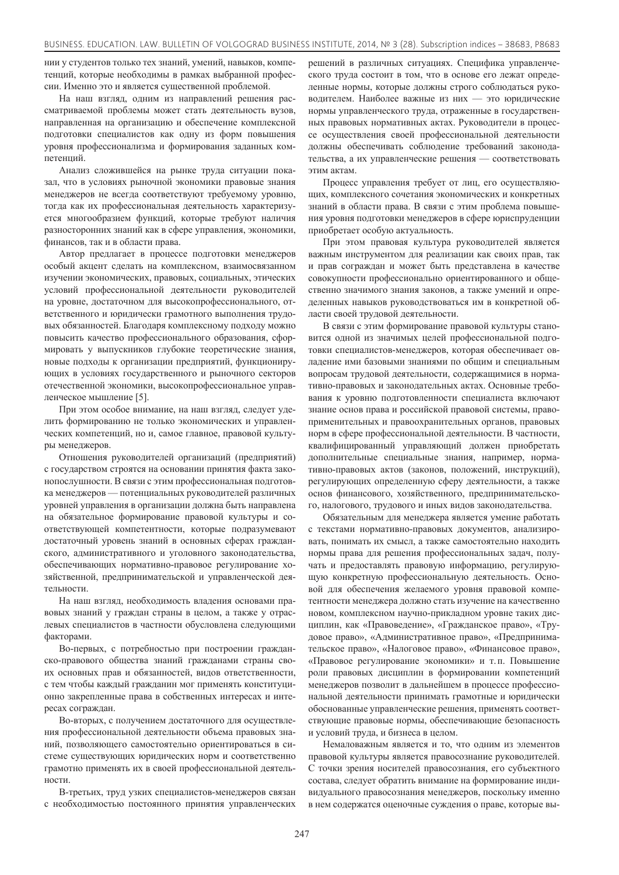нии у студентов только тех знаний, умений, навыков, компетенций, которые необходимы в рамках выбранной профессии. Именно это и является существенной проблемой.

На наш взгляд, одним из направлений решения рассматриваемой проблемы может стать деятельность вузов, направленная на организацию и обеспечение комплексной полготовки специалистов как олну из форм повышения уровня профессионализма и формирования заданных компетенний

Анализ сложившейся на рынке труда ситуации показал, что в условиях рыночной экономики правовые знания менеджеров не всегда соответствуют требуемому уровню, тогда как их профессиональная деятельность характеризуется многообразием функций, которые требуют наличия разносторонних знаний как в сфере управления, экономики, финансов, так и в области права.

Автор предлагает в процессе подготовки менеджеров особый акцент сделать на комплексном, взаимосвязанном изучении экономических, правовых, социальных, этических условий профессиональной деятельности руководителей на уровне, достаточном для высокопрофессионального, ответственного и юридически грамотного выполнения трудовых обязанностей. Благодаря комплексному подходу можно повысить качество профессионального образования, сформировать у выпускников глубокие теоретические знания, новые подходы к организации предприятий, функциониру-ЮЩИХ В УСЛОВИЯХ ГОСУЛАЮСТВЕННОГО И ДЫНОЧНОГО СЕКТОРОВ отечественной экономики, высокопрофессиональное управленческое мышление [5].

При этом особое внимание, на наш взгляд, следует уделить формированию не только экономических и управленческих компетенций, но и, самое главное, правовой культуры менеджеров.

Отношения руководителей организаций (предприятий) с государством строятся на основании принятия факта законопослушности. В связи с этим профессиональная подготовка менеджеров — потенциальных руководителей различных уровней управления в организации должна быть направлена на обязательное формирование правовой культуры и соответствующей компетентности, которые подразумевают достаточный уровень знаний в основных сферах гражданского, административного и уголовного законодательства, обеспечивающих нормативно-правовое регулирование хозяйственной, предпринимательской и управленческой деятельности.

На наш взгляд, необходимость владения основами правовых знаний у граждан страны в целом, а также у отраслевых специалистов в частности обусловлена следующими факторами.

Во-первых, с потребностью при построении гражданско-правового общества знаний гражданами страны своих основных прав и обязанностей, видов ответственности, с тем чтобы каждый гражданин мог применять конституционно закрепленные права в собственных интересах и интересах сограждан.

Во-вторых, с получением достаточного для осуществления профессиональной деятельности объема правовых знаний, позволяющего самостоятельно ориентироваться в системе существующих юридических норм и соответственно грамотно применять их в своей профессиональной деятельности

В-третьих, труд узких специалистов-менеджеров связан с необходимостью постоянного принятия управленческих

решений в различных ситуациях. Специфика управленческого труда состоит в том, что в основе его лежат определенные нормы, которые должны строго соблюдаться руководителем. Наиболее важные из них — это юридические нормы управленческого труда, отраженные в государственных правовых нормативных актах. Руководители в процессе осуществления своей профессиональной деятельности должны обеспечивать соблюдение требований законодательства, а их управленческие решения — соответствовать этим актам

Процесс управления требует от лиц, его осуществляющих, комплексного сочетания экономических и конкретных знаний в области права. В связи с этим проблема повышения уровня подготовки менеджеров в сфере юриспруденции приобретает особую актуальность.

При этом правовая культура руководителей является важным инструментом для реализации как своих прав, так и прав сограждан и может быть представлена в качестве совокупности профессионально ориентированного и общественно значимого знания законов, а также умений и определенных навыков руководствоваться им в конкретной области своей трудовой деятельности.

В связи с этим формирование правовой культуры становится одной из значимых целей профессиональной подготовки специалистов-менеджеров, которая обеспечивает овлаление ими базовыми знаниями по обшим и специальным вопросам трудовой деятельности, содержащимися в нормативно-правовых и законодательных актах. Основные требования к уровню подготовленности специалиста включают знание основ права и российской правовой системы, правоприменительных и правоохранительных органов, правовых норм в сфере профессиональной деятельности. В частности, квалифицированный управляющий должен приобретать дополнительные специальные знания, например, нормативно-правовых актов (законов, положений, инструкций), регулирующих определенную сферу деятельности, а также основ финансового, хозяйственного, предпринимательского, налогового, трудового и иных видов законодательства.

Обязательным для менеджера является умение работать с текстами нормативно-правовых документов, анализировать, понимать их смысл, а также самостоятельно находить нормы права для решения профессиональных задач, получать и предоставлять правовую информацию, регулирующую конкретную профессиональную деятельность. Основой для обеспечения желаемого уровня правовой компетентности менеджера должно стать изучение на качественно новом, комплексном научно-прикладном уровне таких дисциплин, как «Правоведение», «Гражданское право», «Трудовое право», «Административное право», «Предпринимательское право», «Налоговое право», «Финансовое право», «Правовое регулирование экономики» и т.п. Повышение роли правовых дисциплин в формировании компетенций менеджеров позволит в дальнейшем в процессе профессиональной деятельности принимать грамотные и юридически обоснованные управленческие решения, применять соответствующие правовые нормы, обеспечивающие безопасность и условий труда, и бизнеса в целом.

Немаловажным является и то, что одним из элементов правовой культуры является правосознание руководителей. С точки зрения носителей правосознания, его субъектного состава, следует обратить внимание на формирование индивидуального правосознания менеджеров, поскольку именно в нем содержатся оценочные суждения о праве, которые вы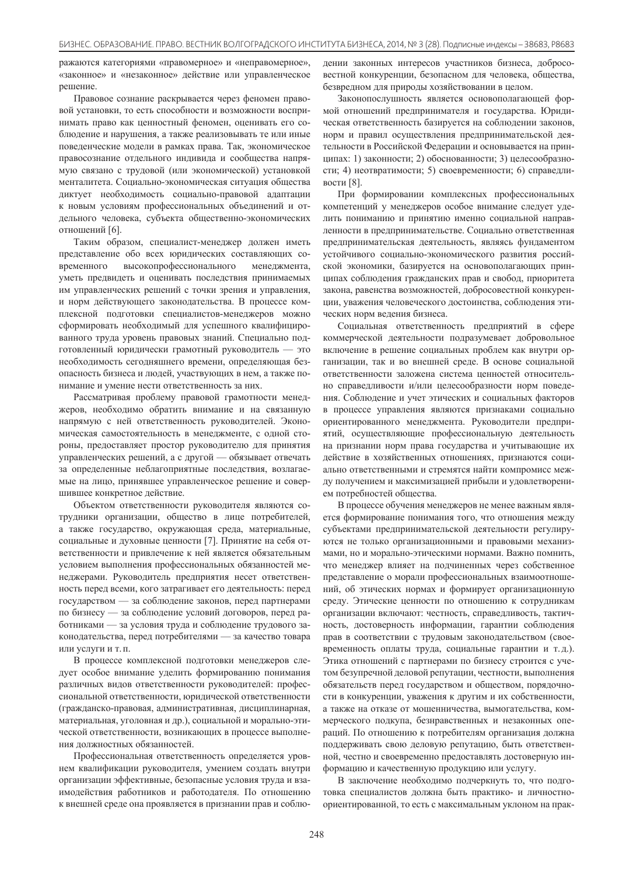ражаются категориями «правомерное» и «неправомерное», «законное» и «незаконное» действие или управленческое neшeние.

Правовое сознание раскрывается через феномен правовой установки, то есть способности и возможности воспринимать право как ценностный феномен, оценивать его соблюдение и нарушения, а также реализовывать те или иные поведенческие модели в рамках права. Так, экономическое правосознание отдельного индивида и сообщества напрямую связано с трудовой (или экономической) установкой менталитета. Социально-экономическая ситуация общества диктует необходимость социально-правовой адаптации к новым условиям профессиональных объединений и отдельного человека, субъекта общественно-экономических отношений [6].

Таким образом, специалист-менеджер должен иметь представление обо всех юридических составляющих современного высокопрофессионального менеджмента, уметь предвидеть и оценивать последствия принимаемых им управленческих решений с точки зрения и управления, и норм действующего законодательства. В процессе комплексной подготовки специалистов-менеджеров можно сформировать необходимый для успешного квалифицированного труда уровень правовых знаний. Специально подготовленный юридически грамотный руководитель — это необходимость сегодняшнего времени, определяющая безопасность бизнеса и людей, участвующих в нем, а также понимание и умение нести ответственность за них.

Рассматривая проблему правовой грамотности менеджеров, необходимо обратить внимание и на связанную напрямую с ней ответственность руководителей. Экономическая самостоятельность в менеджменте, с одной стороны, предоставляет простор руководителю для принятия управленческих решений, а с другой — обязывает отвечать за определенные неблагоприятные последствия, возлагаемые на лицо, принявшее управленческое решение и совершившее конкретное действие.

Объектом ответственности руководителя являются сотрудники организации, общество в лице потребителей, а также государство, окружающая среда, материальные, социальные и духовные ценности [7]. Принятие на себя ответственности и привлечение к ней является обязательным условием выполнения профессиональных обязанностей менеджерами. Руководитель предприятия несет ответственность перед всеми, кого затрагивает его деятельность: перед государством — за соблюдение законов, перед партнерами по бизнесу — за соблюдение условий договоров, перед работниками — за условия труда и соблюдение трудового законодательства, перед потребителями — за качество товара ИЛИ УСПУГИ И Т. П.

В процессе комплексной подготовки менеджеров следует особое внимание уделить формированию понимания различных видов ответственности руководителей: профессиональной ответственности, юридической ответственности (гражданско-правовая, административная, дисциплинарная, материальная, уголовная и др.), социальной и морально-этической ответственности, возникающих в процессе выполнения должностных обязанностей.

Профессиональная ответственность определяется уровнем квалификации руководителя, умением создать внутри организации эффективные, безопасные условия труда и взаимодействия работников и работодателя. По отношению к внешней среде она проявляется в признании прав и соблюдении законных интересов участников бизнеса, добросовестной конкуренции, безопасном для человека, общества, безвредном для природы хозяйствовании в целом.

Законопослушность является основополагающей формой отношений предпринимателя и государства. Юридическая ответственность базируется на соблюдении законов, норм и правил осуществления предпринимательской деятельности в Российской Федерации и основывается на принципах: 1) законности; 2) обоснованности; 3) целесообразности; 4) неотвратимости; 5) своевременности; 6) справедливости  $[8]$ .

При формировании комплексных профессиональных компетенций у менеджеров особое внимание следует уделить пониманию и принятию именно социальной направленности в предпринимательстве. Социально ответственная предпринимательская деятельность, являясь фундаментом устойчивого социально-экономического развития российской экономики, базируется на основополагающих принципах соблюдения гражданских прав и свобод, приоритета закона, равенства возможностей, добросовестной конкуренции, уважения человеческого достоинства, соблюдения этических норм ведения бизнеса.

Социальная ответственность предприятий в сфере коммерческой деятельности подразумевает добровольное включение в решение социальных проблем как внутри организации, так и во внешней среде. В основе социальной ответственности заложена система пенностей относительно справедливости и/или целесообразности норм поведения. Соблюдение и учет этических и социальных факторов в процессе управления являются признаками социально ориентированного менеджмента. Руководители предприятий, осуществляющие профессиональную деятельность на признании норм права государства и учитывающие их действие в хозяйственных отношениях, признаются социально ответственными и стремятся найти компромисс между получением и максимизацией прибыли и удовлетворением потребностей общества.

В процессе обучения менеджеров не менее важным является формирование понимания того, что отношения между субъектами предпринимательской деятельности регулируются не только организационными и правовыми механизмами, но и морально-этическими нормами. Важно помнить, что менеджер влияет на подчиненных через собственное представление о морали профессиональных взаимоотношений, об этических нормах и формирует организационную среду. Этические ценности по отношению к сотрудникам организации включают: честность, справедливость, тактичность, достоверность информации, гарантии соблюдения прав в соответствии с трудовым законодательством (своевременность оплаты труда, социальные гарантии и т.д.). Этика отношений с партнерами по бизнесу строится с учетом безупречной деловой репутации, честности, выполнения обязательств перед государством и обществом, порядочности в конкуренции, уважения к другим и их собственности, а также на отказе от мошенничества, вымогательства, коммерческого подкупа, безнравственных и незаконных операций. По отношению к потребителям организация должна поддерживать свою деловую репутацию, быть ответственной, честно и своевременно предоставлять достоверную информацию и качественную продукцию или услугу.

В заключение необходимо подчеркнуть то, что подготовка специалистов должна быть практико- и личностноориентированной, то есть с максимальным уклоном на прак